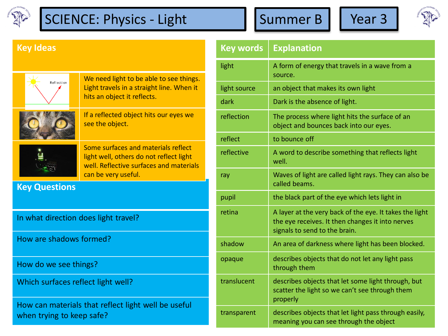

## SCIENCE: Physics - Light Summer B Year 3





## **Key Ideas**

| Reflection           | We need light to be able to see things.<br>Light travels in a straight line. When it<br>hits an object it reflects.                              |
|----------------------|--------------------------------------------------------------------------------------------------------------------------------------------------|
|                      | If a reflected object hits our eyes we<br>see the object.                                                                                        |
|                      | Some surfaces and materials reflect<br>light well, others do not reflect light<br>well. Reflective surfaces and materials<br>can be very useful. |
| <b>Key Questions</b> |                                                                                                                                                  |

In what direction does light travel?

How are shadows formed?

How do we see things?

Which surfaces reflect light well?

How can materials that reflect light well be useful when trying to keep safe?

| <b>Key words</b> | <b>Explanation</b>                                                                                                                           |
|------------------|----------------------------------------------------------------------------------------------------------------------------------------------|
| light            | A form of energy that travels in a wave from a<br>source.                                                                                    |
| light source     | an object that makes its own light                                                                                                           |
| dark             | Dark is the absence of light.                                                                                                                |
| reflection       | The process where light hits the surface of an<br>object and bounces back into our eyes.                                                     |
| reflect          | to bounce off                                                                                                                                |
| reflective       | A word to describe something that reflects light<br>well.                                                                                    |
| ray              | Waves of light are called light rays. They can also be<br>called beams.                                                                      |
| pupil            | the black part of the eye which lets light in                                                                                                |
| retina           | A layer at the very back of the eye. It takes the light<br>the eye receives. It then changes it into nerves<br>signals to send to the brain. |
| shadow           | An area of darkness where light has been blocked.                                                                                            |
| opaque           | describes objects that do not let any light pass<br>through them                                                                             |
| translucent      | describes objects that let some light through, but<br>scatter the light so we can't see through them<br>properly                             |
| transparent      | describes objects that let light pass through easily,<br>meaning you can see through the object                                              |